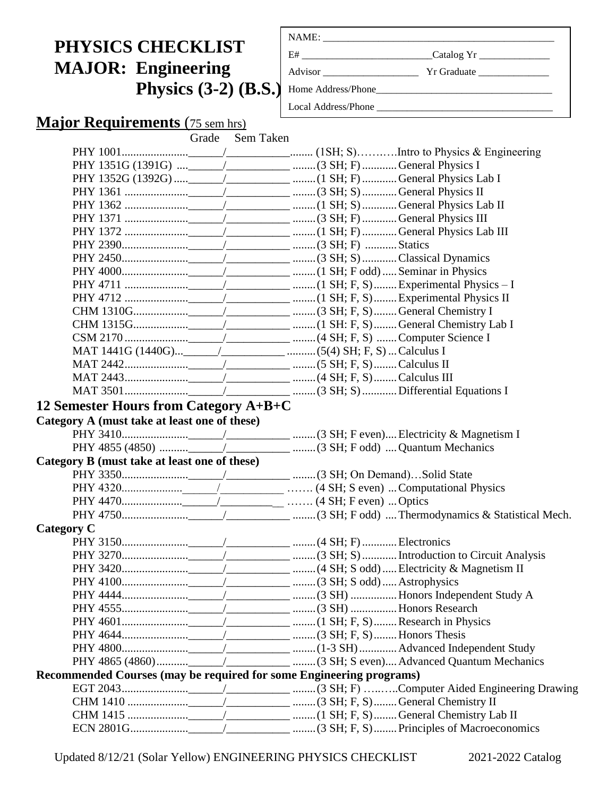# **PHYSICS CHECKLIST MAJOR: Engineering Physics (3-2) (B.S.)**

| E# __________________________________Catalog Yr ________________________________ |  |
|----------------------------------------------------------------------------------|--|
|                                                                                  |  |
|                                                                                  |  |
| Local Address/Phone                                                              |  |

## **Major Requirements** (75 sem hrs)

|                                                                     | Grade | Sem Taken |  |  |
|---------------------------------------------------------------------|-------|-----------|--|--|
|                                                                     |       |           |  |  |
|                                                                     |       |           |  |  |
|                                                                     |       |           |  |  |
|                                                                     |       |           |  |  |
|                                                                     |       |           |  |  |
|                                                                     |       |           |  |  |
|                                                                     |       |           |  |  |
|                                                                     |       |           |  |  |
|                                                                     |       |           |  |  |
|                                                                     |       |           |  |  |
|                                                                     |       |           |  |  |
|                                                                     |       |           |  |  |
|                                                                     |       |           |  |  |
|                                                                     |       |           |  |  |
|                                                                     |       |           |  |  |
|                                                                     |       |           |  |  |
|                                                                     |       |           |  |  |
|                                                                     |       |           |  |  |
|                                                                     |       |           |  |  |
| 12 Semester Hours from Category A+B+C                               |       |           |  |  |
| Category A (must take at least one of these)                        |       |           |  |  |
|                                                                     |       |           |  |  |
|                                                                     |       |           |  |  |
| Category B (must take at least one of these)                        |       |           |  |  |
|                                                                     |       |           |  |  |
|                                                                     |       |           |  |  |
|                                                                     |       |           |  |  |
|                                                                     |       |           |  |  |
| <b>Category C</b>                                                   |       |           |  |  |
|                                                                     |       |           |  |  |
|                                                                     |       |           |  |  |
|                                                                     |       |           |  |  |
|                                                                     |       |           |  |  |
|                                                                     |       |           |  |  |
|                                                                     |       |           |  |  |
|                                                                     |       |           |  |  |
|                                                                     |       |           |  |  |
|                                                                     |       |           |  |  |
|                                                                     |       |           |  |  |
| Recommended Courses (may be required for some Engineering programs) |       |           |  |  |
|                                                                     |       |           |  |  |
|                                                                     |       |           |  |  |
|                                                                     |       |           |  |  |
|                                                                     |       |           |  |  |